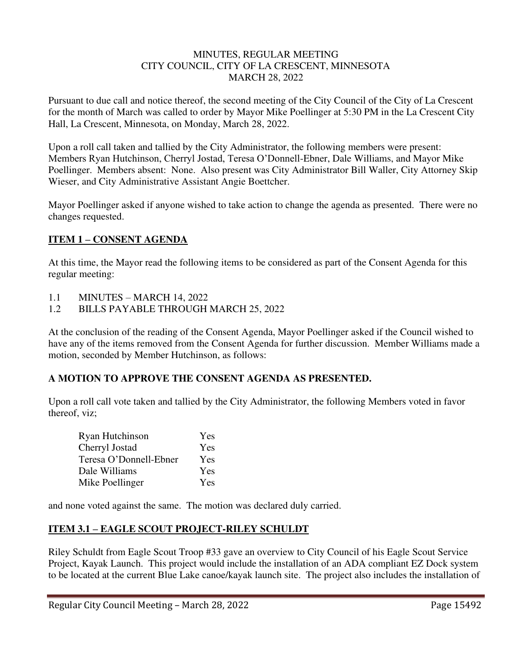#### MINUTES, REGULAR MEETING CITY COUNCIL, CITY OF LA CRESCENT, MINNESOTA MARCH 28, 2022

Pursuant to due call and notice thereof, the second meeting of the City Council of the City of La Crescent for the month of March was called to order by Mayor Mike Poellinger at 5:30 PM in the La Crescent City Hall, La Crescent, Minnesota, on Monday, March 28, 2022.

Upon a roll call taken and tallied by the City Administrator, the following members were present: Members Ryan Hutchinson, Cherryl Jostad, Teresa O'Donnell-Ebner, Dale Williams, and Mayor Mike Poellinger. Members absent: None. Also present was City Administrator Bill Waller, City Attorney Skip Wieser, and City Administrative Assistant Angie Boettcher.

Mayor Poellinger asked if anyone wished to take action to change the agenda as presented. There were no changes requested.

# **ITEM 1 – CONSENT AGENDA**

At this time, the Mayor read the following items to be considered as part of the Consent Agenda for this regular meeting:

- 1.1 MINUTES MARCH 14, 2022
- 1.2 BILLS PAYABLE THROUGH MARCH 25, 2022

At the conclusion of the reading of the Consent Agenda, Mayor Poellinger asked if the Council wished to have any of the items removed from the Consent Agenda for further discussion. Member Williams made a motion, seconded by Member Hutchinson, as follows:

### **A MOTION TO APPROVE THE CONSENT AGENDA AS PRESENTED.**

Upon a roll call vote taken and tallied by the City Administrator, the following Members voted in favor thereof, viz;

| Ryan Hutchinson        | Yes |
|------------------------|-----|
| Cherryl Jostad         | Yes |
| Teresa O'Donnell-Ebner | Yes |
| Dale Williams          | Yes |
| Mike Poellinger        | Yes |

and none voted against the same. The motion was declared duly carried.

# **ITEM 3.1 – EAGLE SCOUT PROJECT-RILEY SCHULDT**

Riley Schuldt from Eagle Scout Troop #33 gave an overview to City Council of his Eagle Scout Service Project, Kayak Launch. This project would include the installation of an ADA compliant EZ Dock system to be located at the current Blue Lake canoe/kayak launch site. The project also includes the installation of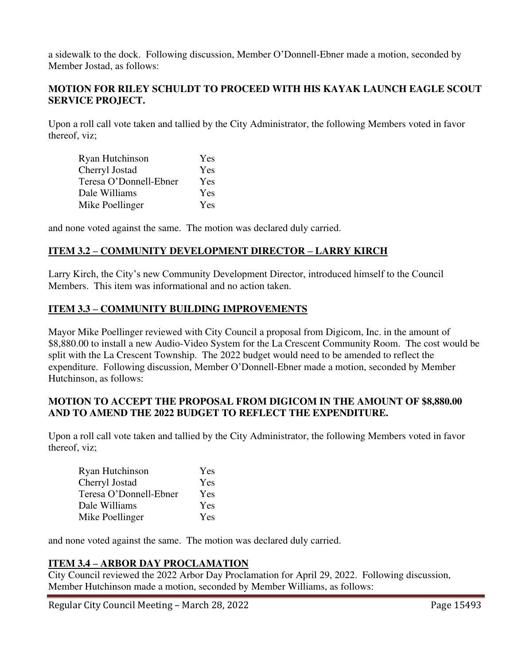a sidewalk to the dock. Following discussion, Member O'Donnell-Ebner made a motion, seconded by Member Jostad, as follows:

#### **MOTION FOR RILEY SCHULDT TO PROCEED WITH HIS KAYAK LAUNCH EAGLE SCOUT SERVICE PROJECT.**

Upon a roll call vote taken and tallied by the City Administrator, the following Members voted in favor thereof, viz;

| Ryan Hutchinson        | Yes |
|------------------------|-----|
| Cherryl Jostad         | Yes |
| Teresa O'Donnell-Ebner | Yes |
| Dale Williams          | Yes |
| Mike Poellinger        | Yes |

and none voted against the same. The motion was declared duly carried.

### **ITEM 3.2 – COMMUNITY DEVELOPMENT DIRECTOR – LARRY KIRCH**

Larry Kirch, the City's new Community Development Director, introduced himself to the Council Members. This item was informational and no action taken.

### **ITEM 3.3 – COMMUNITY BUILDING IMPROVEMENTS**

Mayor Mike Poellinger reviewed with City Council a proposal from Digicom, Inc. in the amount of \$8,880.00 to install a new Audio-Video System for the La Crescent Community Room. The cost would be split with the La Crescent Township. The 2022 budget would need to be amended to reflect the expenditure. Following discussion, Member O'Donnell-Ebner made a motion, seconded by Member Hutchinson, as follows:

#### **MOTION TO ACCEPT THE PROPOSAL FROM DIGICOM IN THE AMOUNT OF \$8,880.00 AND TO AMEND THE 2022 BUDGET TO REFLECT THE EXPENDITURE.**

Upon a roll call vote taken and tallied by the City Administrator, the following Members voted in favor thereof, viz;

| Ryan Hutchinson        | Yes |
|------------------------|-----|
| Cherryl Jostad         | Yes |
| Teresa O'Donnell-Ebner | Yes |
| Dale Williams          | Yes |
| Mike Poellinger        | Yes |

and none voted against the same. The motion was declared duly carried.

### **ITEM 3.4 – ARBOR DAY PROCLAMATION**

City Council reviewed the 2022 Arbor Day Proclamation for April 29, 2022. Following discussion, Member Hutchinson made a motion, seconded by Member Williams, as follows: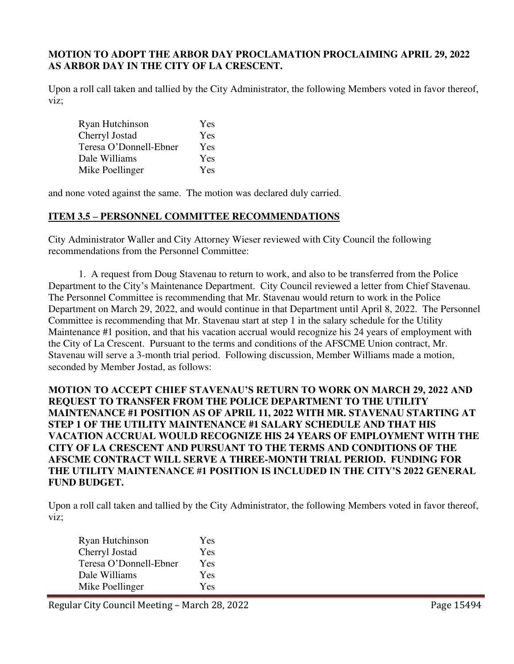#### **MOTION TO ADOPT THE ARBOR DAY PROCLAMATION PROCLAIMING APRIL 29, 2022 AS ARBOR DAY IN THE CITY OF LA CRESCENT.**

Upon a roll call taken and tallied by the City Administrator, the following Members voted in favor thereof, viz;

| Ryan Hutchinson        | Yes |
|------------------------|-----|
| Cherryl Jostad         | Yes |
| Teresa O'Donnell-Ebner | Yes |
| Dale Williams          | Yes |
| Mike Poellinger        | Yes |

and none voted against the same. The motion was declared duly carried.

#### **ITEM 3.5 – PERSONNEL COMMITTEE RECOMMENDATIONS**

City Administrator Waller and City Attorney Wieser reviewed with City Council the following recommendations from the Personnel Committee:

 1. A request from Doug Stavenau to return to work, and also to be transferred from the Police Department to the City's Maintenance Department. City Council reviewed a letter from Chief Stavenau. The Personnel Committee is recommending that Mr. Stavenau would return to work in the Police Department on March 29, 2022, and would continue in that Department until April 8, 2022. The Personnel Committee is recommending that Mr. Stavenau start at step 1 in the salary schedule for the Utility Maintenance #1 position, and that his vacation accrual would recognize his 24 years of employment with the City of La Crescent. Pursuant to the terms and conditions of the AFSCME Union contract, Mr. Stavenau will serve a 3-month trial period. Following discussion, Member Williams made a motion, seconded by Member Jostad, as follows:

### **MOTION TO ACCEPT CHIEF STAVENAU'S RETURN TO WORK ON MARCH 29, 2022 AND REQUEST TO TRANSFER FROM THE POLICE DEPARTMENT TO THE UTILITY MAINTENANCE #1 POSITION AS OF APRIL 11, 2022 WITH MR. STAVENAU STARTING AT STEP 1 OF THE UTILITY MAINTENANCE #1 SALARY SCHEDULE AND THAT HIS VACATION ACCRUAL WOULD RECOGNIZE HIS 24 YEARS OF EMPLOYMENT WITH THE CITY OF LA CRESCENT AND PURSUANT TO THE TERMS AND CONDITIONS OF THE AFSCME CONTRACT WILL SERVE A THREE-MONTH TRIAL PERIOD. FUNDING FOR THE UTILITY MAINTENANCE #1 POSITION IS INCLUDED IN THE CITY'S 2022 GENERAL FUND BUDGET.**

Upon a roll call taken and tallied by the City Administrator, the following Members voted in favor thereof, viz;

| Ryan Hutchinson        | Yes |
|------------------------|-----|
| Cherryl Jostad         | Yes |
| Teresa O'Donnell-Ebner | Yes |
| Dale Williams          | Yes |
| Mike Poellinger        | Yes |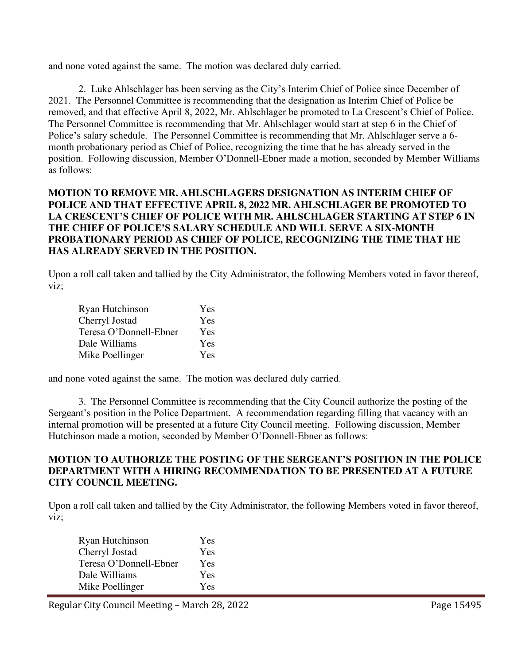and none voted against the same. The motion was declared duly carried.

2. Luke Ahlschlager has been serving as the City's Interim Chief of Police since December of 2021. The Personnel Committee is recommending that the designation as Interim Chief of Police be removed, and that effective April 8, 2022, Mr. Ahlschlager be promoted to La Crescent's Chief of Police. The Personnel Committee is recommending that Mr. Ahlschlager would start at step 6 in the Chief of Police's salary schedule. The Personnel Committee is recommending that Mr. Ahlschlager serve a 6 month probationary period as Chief of Police, recognizing the time that he has already served in the position. Following discussion, Member O'Donnell-Ebner made a motion, seconded by Member Williams as follows:

### **MOTION TO REMOVE MR. AHLSCHLAGERS DESIGNATION AS INTERIM CHIEF OF POLICE AND THAT EFFECTIVE APRIL 8, 2022 MR. AHLSCHLAGER BE PROMOTED TO LA CRESCENT'S CHIEF OF POLICE WITH MR. AHLSCHLAGER STARTING AT STEP 6 IN THE CHIEF OF POLICE'S SALARY SCHEDULE AND WILL SERVE A SIX-MONTH PROBATIONARY PERIOD AS CHIEF OF POLICE, RECOGNIZING THE TIME THAT HE HAS ALREADY SERVED IN THE POSITION.**

Upon a roll call taken and tallied by the City Administrator, the following Members voted in favor thereof, viz;

| Ryan Hutchinson        | Yes |
|------------------------|-----|
| Cherryl Jostad         | Yes |
| Teresa O'Donnell-Ebner | Yes |
| Dale Williams          | Yes |
| Mike Poellinger        | Yes |

and none voted against the same. The motion was declared duly carried.

 3. The Personnel Committee is recommending that the City Council authorize the posting of the Sergeant's position in the Police Department. A recommendation regarding filling that vacancy with an internal promotion will be presented at a future City Council meeting. Following discussion, Member Hutchinson made a motion, seconded by Member O'Donnell-Ebner as follows:

### **MOTION TO AUTHORIZE THE POSTING OF THE SERGEANT'S POSITION IN THE POLICE DEPARTMENT WITH A HIRING RECOMMENDATION TO BE PRESENTED AT A FUTURE CITY COUNCIL MEETING.**

Upon a roll call taken and tallied by the City Administrator, the following Members voted in favor thereof, viz;

| Ryan Hutchinson        | Yes |
|------------------------|-----|
| Cherryl Jostad         | Yes |
| Teresa O'Donnell-Ebner | Yes |
| Dale Williams          | Yes |
| Mike Poellinger        | Yes |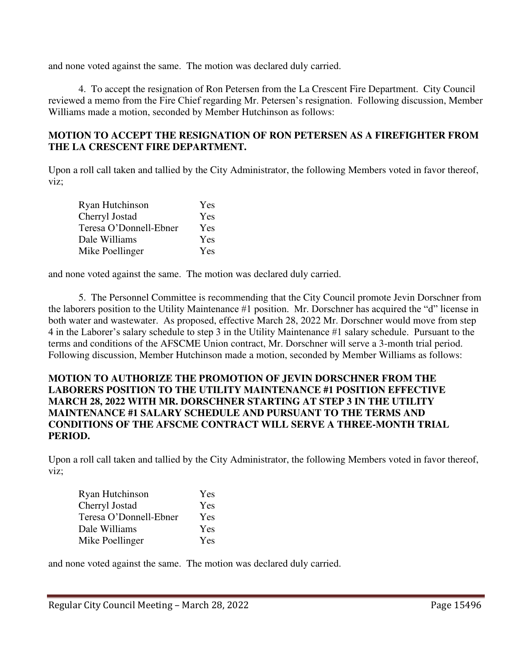and none voted against the same. The motion was declared duly carried.

4. To accept the resignation of Ron Petersen from the La Crescent Fire Department. City Council reviewed a memo from the Fire Chief regarding Mr. Petersen's resignation. Following discussion, Member Williams made a motion, seconded by Member Hutchinson as follows:

### **MOTION TO ACCEPT THE RESIGNATION OF RON PETERSEN AS A FIREFIGHTER FROM THE LA CRESCENT FIRE DEPARTMENT.**

Upon a roll call taken and tallied by the City Administrator, the following Members voted in favor thereof, viz;

| Ryan Hutchinson        | Yes |
|------------------------|-----|
| Cherryl Jostad         | Yes |
| Teresa O'Donnell-Ebner | Yes |
| Dale Williams          | Yes |
| Mike Poellinger        | Yes |

and none voted against the same. The motion was declared duly carried.

5. The Personnel Committee is recommending that the City Council promote Jevin Dorschner from the laborers position to the Utility Maintenance #1 position. Mr. Dorschner has acquired the "d" license in both water and wastewater. As proposed, effective March 28, 2022 Mr. Dorschner would move from step 4 in the Laborer's salary schedule to step 3 in the Utility Maintenance #1 salary schedule. Pursuant to the terms and conditions of the AFSCME Union contract, Mr. Dorschner will serve a 3-month trial period. Following discussion, Member Hutchinson made a motion, seconded by Member Williams as follows:

### **MOTION TO AUTHORIZE THE PROMOTION OF JEVIN DORSCHNER FROM THE LABORERS POSITION TO THE UTILITY MAINTENANCE #1 POSITION EFFECTIVE MARCH 28, 2022 WITH MR. DORSCHNER STARTING AT STEP 3 IN THE UTILITY MAINTENANCE #1 SALARY SCHEDULE AND PURSUANT TO THE TERMS AND CONDITIONS OF THE AFSCME CONTRACT WILL SERVE A THREE-MONTH TRIAL PERIOD.**

Upon a roll call taken and tallied by the City Administrator, the following Members voted in favor thereof, viz;

| Ryan Hutchinson        | Yes |
|------------------------|-----|
| Cherryl Jostad         | Yes |
| Teresa O'Donnell-Ebner | Yes |
| Dale Williams          | Yes |
| Mike Poellinger        | Yes |

and none voted against the same. The motion was declared duly carried.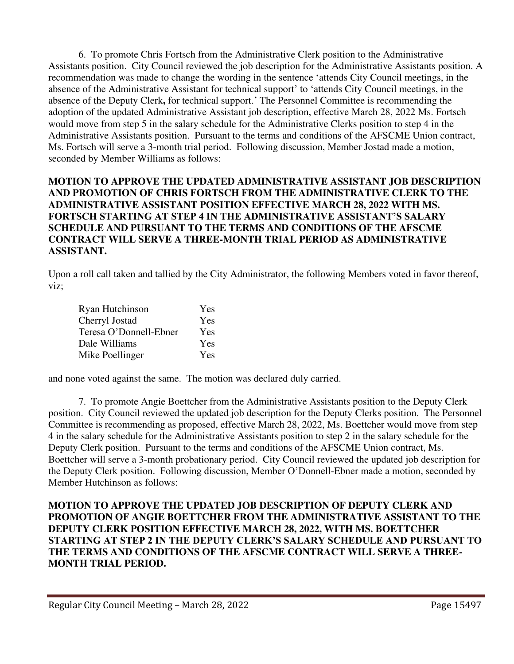6. To promote Chris Fortsch from the Administrative Clerk position to the Administrative Assistants position. City Council reviewed the job description for the Administrative Assistants position. A recommendation was made to change the wording in the sentence 'attends City Council meetings, in the absence of the Administrative Assistant for technical support' to 'attends City Council meetings, in the absence of the Deputy Clerk**,** for technical support.' The Personnel Committee is recommending the adoption of the updated Administrative Assistant job description, effective March 28, 2022 Ms. Fortsch would move from step 5 in the salary schedule for the Administrative Clerks position to step 4 in the Administrative Assistants position. Pursuant to the terms and conditions of the AFSCME Union contract, Ms. Fortsch will serve a 3-month trial period. Following discussion, Member Jostad made a motion, seconded by Member Williams as follows:

### **MOTION TO APPROVE THE UPDATED ADMINISTRATIVE ASSISTANT JOB DESCRIPTION AND PROMOTION OF CHRIS FORTSCH FROM THE ADMINISTRATIVE CLERK TO THE ADMINISTRATIVE ASSISTANT POSITION EFFECTIVE MARCH 28, 2022 WITH MS. FORTSCH STARTING AT STEP 4 IN THE ADMINISTRATIVE ASSISTANT'S SALARY SCHEDULE AND PURSUANT TO THE TERMS AND CONDITIONS OF THE AFSCME CONTRACT WILL SERVE A THREE-MONTH TRIAL PERIOD AS ADMINISTRATIVE ASSISTANT.**

Upon a roll call taken and tallied by the City Administrator, the following Members voted in favor thereof, viz;

| Ryan Hutchinson        | Yes |
|------------------------|-----|
| Cherryl Jostad         | Yes |
| Teresa O'Donnell-Ebner | Yes |
| Dale Williams          | Yes |
| Mike Poellinger        | Yes |

and none voted against the same. The motion was declared duly carried.

7. To promote Angie Boettcher from the Administrative Assistants position to the Deputy Clerk position. City Council reviewed the updated job description for the Deputy Clerks position. The Personnel Committee is recommending as proposed, effective March 28, 2022, Ms. Boettcher would move from step 4 in the salary schedule for the Administrative Assistants position to step 2 in the salary schedule for the Deputy Clerk position. Pursuant to the terms and conditions of the AFSCME Union contract, Ms. Boettcher will serve a 3-month probationary period. City Council reviewed the updated job description for the Deputy Clerk position. Following discussion, Member O'Donnell-Ebner made a motion, seconded by Member Hutchinson as follows:

**MOTION TO APPROVE THE UPDATED JOB DESCRIPTION OF DEPUTY CLERK AND PROMOTION OF ANGIE BOETTCHER FROM THE ADMINISTRATIVE ASSISTANT TO THE DEPUTY CLERK POSITION EFFECTIVE MARCH 28, 2022, WITH MS. BOETTCHER STARTING AT STEP 2 IN THE DEPUTY CLERK'S SALARY SCHEDULE AND PURSUANT TO THE TERMS AND CONDITIONS OF THE AFSCME CONTRACT WILL SERVE A THREE-MONTH TRIAL PERIOD.**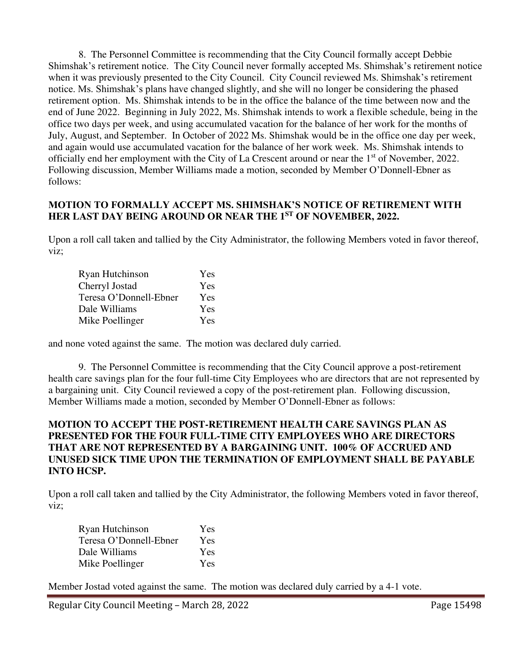8. The Personnel Committee is recommending that the City Council formally accept Debbie Shimshak's retirement notice. The City Council never formally accepted Ms. Shimshak's retirement notice when it was previously presented to the City Council. City Council reviewed Ms. Shimshak's retirement notice. Ms. Shimshak's plans have changed slightly, and she will no longer be considering the phased retirement option. Ms. Shimshak intends to be in the office the balance of the time between now and the end of June 2022. Beginning in July 2022, Ms. Shimshak intends to work a flexible schedule, being in the office two days per week, and using accumulated vacation for the balance of her work for the months of July, August, and September. In October of 2022 Ms. Shimshak would be in the office one day per week, and again would use accumulated vacation for the balance of her work week. Ms. Shimshak intends to officially end her employment with the City of La Crescent around or near the  $1<sup>st</sup>$  of November, 2022. Following discussion, Member Williams made a motion, seconded by Member O'Donnell-Ebner as follows:

#### **MOTION TO FORMALLY ACCEPT MS. SHIMSHAK'S NOTICE OF RETIREMENT WITH HER LAST DAY BEING AROUND OR NEAR THE 1ST OF NOVEMBER, 2022.**

Upon a roll call taken and tallied by the City Administrator, the following Members voted in favor thereof, viz;

| Ryan Hutchinson        | Yes |
|------------------------|-----|
| Cherryl Jostad         | Yes |
| Teresa O'Donnell-Ebner | Yes |
| Dale Williams          | Yes |
| Mike Poellinger        | Yes |

and none voted against the same. The motion was declared duly carried.

 9. The Personnel Committee is recommending that the City Council approve a post-retirement health care savings plan for the four full-time City Employees who are directors that are not represented by a bargaining unit. City Council reviewed a copy of the post-retirement plan. Following discussion, Member Williams made a motion, seconded by Member O'Donnell-Ebner as follows:

### **MOTION TO ACCEPT THE POST-RETIREMENT HEALTH CARE SAVINGS PLAN AS PRESENTED FOR THE FOUR FULL-TIME CITY EMPLOYEES WHO ARE DIRECTORS THAT ARE NOT REPRESENTED BY A BARGAINING UNIT. 100% OF ACCRUED AND UNUSED SICK TIME UPON THE TERMINATION OF EMPLOYMENT SHALL BE PAYABLE INTO HCSP.**

Upon a roll call taken and tallied by the City Administrator, the following Members voted in favor thereof, viz;

| Ryan Hutchinson        | Yes |
|------------------------|-----|
| Teresa O'Donnell-Ebner | Yes |
| Dale Williams          | Yes |
| Mike Poellinger        | Yes |

Member Jostad voted against the same. The motion was declared duly carried by a 4-1 vote.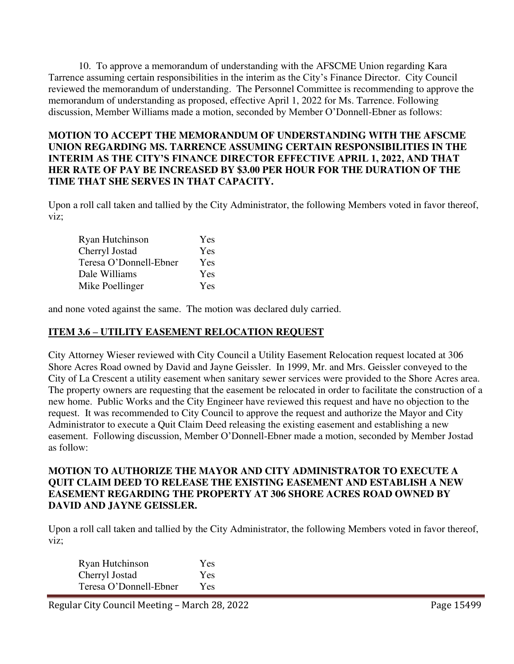10. To approve a memorandum of understanding with the AFSCME Union regarding Kara Tarrence assuming certain responsibilities in the interim as the City's Finance Director. City Council reviewed the memorandum of understanding. The Personnel Committee is recommending to approve the memorandum of understanding as proposed, effective April 1, 2022 for Ms. Tarrence. Following discussion, Member Williams made a motion, seconded by Member O'Donnell-Ebner as follows:

### **MOTION TO ACCEPT THE MEMORANDUM OF UNDERSTANDING WITH THE AFSCME UNION REGARDING MS. TARRENCE ASSUMING CERTAIN RESPONSIBILITIES IN THE INTERIM AS THE CITY'S FINANCE DIRECTOR EFFECTIVE APRIL 1, 2022, AND THAT HER RATE OF PAY BE INCREASED BY \$3.00 PER HOUR FOR THE DURATION OF THE TIME THAT SHE SERVES IN THAT CAPACITY.**

Upon a roll call taken and tallied by the City Administrator, the following Members voted in favor thereof, viz;

| Ryan Hutchinson        | Yes |
|------------------------|-----|
| Cherryl Jostad         | Yes |
| Teresa O'Donnell-Ebner | Yes |
| Dale Williams          | Yes |
| Mike Poellinger        | Yes |

and none voted against the same. The motion was declared duly carried.

# **ITEM 3.6 – UTILITY EASEMENT RELOCATION REQUEST**

City Attorney Wieser reviewed with City Council a Utility Easement Relocation request located at 306 Shore Acres Road owned by David and Jayne Geissler. In 1999, Mr. and Mrs. Geissler conveyed to the City of La Crescent a utility easement when sanitary sewer services were provided to the Shore Acres area. The property owners are requesting that the easement be relocated in order to facilitate the construction of a new home. Public Works and the City Engineer have reviewed this request and have no objection to the request. It was recommended to City Council to approve the request and authorize the Mayor and City Administrator to execute a Quit Claim Deed releasing the existing easement and establishing a new easement. Following discussion, Member O'Donnell-Ebner made a motion, seconded by Member Jostad as follow:

#### **MOTION TO AUTHORIZE THE MAYOR AND CITY ADMINISTRATOR TO EXECUTE A QUIT CLAIM DEED TO RELEASE THE EXISTING EASEMENT AND ESTABLISH A NEW EASEMENT REGARDING THE PROPERTY AT 306 SHORE ACRES ROAD OWNED BY DAVID AND JAYNE GEISSLER.**

Upon a roll call taken and tallied by the City Administrator, the following Members voted in favor thereof, viz;

| Ryan Hutchinson        | Yes        |
|------------------------|------------|
| Cherryl Jostad         | Yes        |
| Teresa O'Donnell-Ebner | <b>Yes</b> |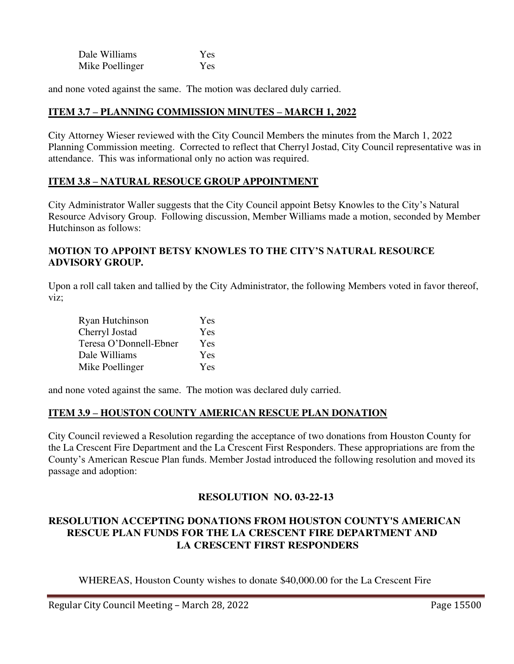| Dale Williams   | Yes |
|-----------------|-----|
| Mike Poellinger | Yes |

and none voted against the same. The motion was declared duly carried.

### **ITEM 3.7 – PLANNING COMMISSION MINUTES – MARCH 1, 2022**

City Attorney Wieser reviewed with the City Council Members the minutes from the March 1, 2022 Planning Commission meeting. Corrected to reflect that Cherryl Jostad, City Council representative was in attendance. This was informational only no action was required.

### **ITEM 3.8 – NATURAL RESOUCE GROUP APPOINTMENT**

City Administrator Waller suggests that the City Council appoint Betsy Knowles to the City's Natural Resource Advisory Group. Following discussion, Member Williams made a motion, seconded by Member Hutchinson as follows:

### **MOTION TO APPOINT BETSY KNOWLES TO THE CITY'S NATURAL RESOURCE ADVISORY GROUP.**

Upon a roll call taken and tallied by the City Administrator, the following Members voted in favor thereof, viz;

| Ryan Hutchinson        | Yes |
|------------------------|-----|
| Cherryl Jostad         | Yes |
| Teresa O'Donnell-Ebner | Yes |
| Dale Williams          | Yes |
| Mike Poellinger        | Yes |

and none voted against the same. The motion was declared duly carried.

### **ITEM 3.9 – HOUSTON COUNTY AMERICAN RESCUE PLAN DONATION**

City Council reviewed a Resolution regarding the acceptance of two donations from Houston County for the La Crescent Fire Department and the La Crescent First Responders. These appropriations are from the County's American Rescue Plan funds. Member Jostad introduced the following resolution and moved its passage and adoption:

### **RESOLUTION NO. 03-22-13**

# **RESOLUTION ACCEPTING DONATIONS FROM HOUSTON COUNTY'S AMERICAN RESCUE PLAN FUNDS FOR THE LA CRESCENT FIRE DEPARTMENT AND LA CRESCENT FIRST RESPONDERS**

WHEREAS, Houston County wishes to donate \$40,000.00 for the La Crescent Fire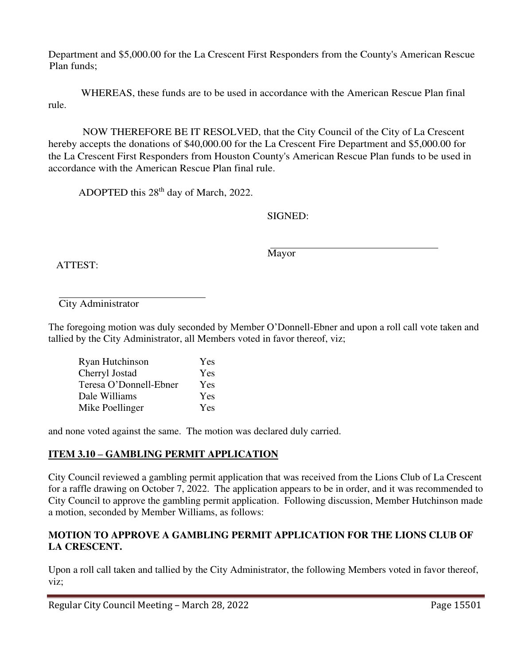Department and \$5,000.00 for the La Crescent First Responders from the County's American Rescue Plan funds;

 WHEREAS, these funds are to be used in accordance with the American Rescue Plan final rule.

 NOW THEREFORE BE IT RESOLVED, that the City Council of the City of La Crescent hereby accepts the donations of \$40,000.00 for the La Crescent Fire Department and \$5,000.00 for the La Crescent First Responders from Houston County's American Rescue Plan funds to be used in accordance with the American Rescue Plan final rule.

ADOPTED this 28<sup>th</sup> day of March, 2022.

SIGNED:

ATTEST:

Mayor

City Administrator

The foregoing motion was duly seconded by Member O'Donnell-Ebner and upon a roll call vote taken and tallied by the City Administrator, all Members voted in favor thereof, viz;

| Ryan Hutchinson        | Yes |
|------------------------|-----|
| Cherryl Jostad         | Yes |
| Teresa O'Donnell-Ebner | Yes |
| Dale Williams          | Yes |
| Mike Poellinger        | Yes |

and none voted against the same. The motion was declared duly carried.

# **ITEM 3.10 – GAMBLING PERMIT APPLICATION**

City Council reviewed a gambling permit application that was received from the Lions Club of La Crescent for a raffle drawing on October 7, 2022. The application appears to be in order, and it was recommended to City Council to approve the gambling permit application. Following discussion, Member Hutchinson made a motion, seconded by Member Williams, as follows:

# **MOTION TO APPROVE A GAMBLING PERMIT APPLICATION FOR THE LIONS CLUB OF LA CRESCENT.**

Upon a roll call taken and tallied by the City Administrator, the following Members voted in favor thereof, viz;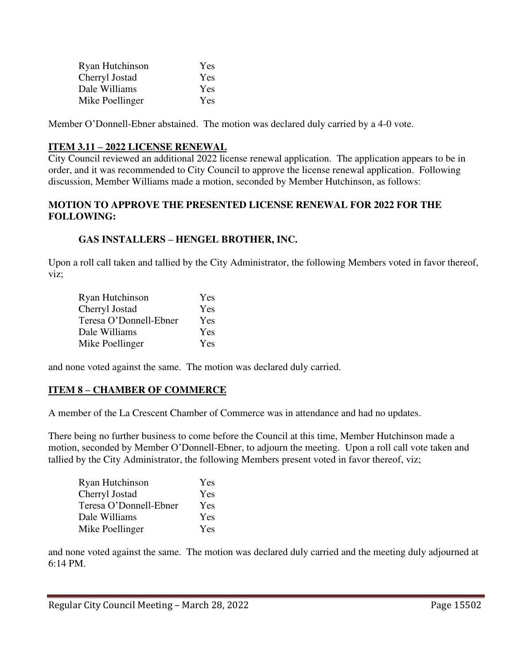| Ryan Hutchinson | Yes |
|-----------------|-----|
| Cherryl Jostad  | Yes |
| Dale Williams   | Yes |
| Mike Poellinger | Yes |

Member O'Donnell-Ebner abstained. The motion was declared duly carried by a 4-0 vote.

# **ITEM 3.11 – 2022 LICENSE RENEWAL**

City Council reviewed an additional 2022 license renewal application. The application appears to be in order, and it was recommended to City Council to approve the license renewal application. Following discussion, Member Williams made a motion, seconded by Member Hutchinson, as follows:

### **MOTION TO APPROVE THE PRESENTED LICENSE RENEWAL FOR 2022 FOR THE FOLLOWING:**

# **GAS INSTALLERS – HENGEL BROTHER, INC.**

Upon a roll call taken and tallied by the City Administrator, the following Members voted in favor thereof, viz;

| Ryan Hutchinson        | Yes |
|------------------------|-----|
| Cherryl Jostad         | Yes |
| Teresa O'Donnell-Ebner | Yes |
| Dale Williams          | Yes |
| Mike Poellinger        | Yes |

and none voted against the same. The motion was declared duly carried.

# **ITEM 8 – CHAMBER OF COMMERCE**

A member of the La Crescent Chamber of Commerce was in attendance and had no updates.

There being no further business to come before the Council at this time, Member Hutchinson made a motion, seconded by Member O'Donnell-Ebner, to adjourn the meeting. Upon a roll call vote taken and tallied by the City Administrator, the following Members present voted in favor thereof, viz;

| Ryan Hutchinson        | Yes |
|------------------------|-----|
| Cherryl Jostad         | Yes |
| Teresa O'Donnell-Ebner | Yes |
| Dale Williams          | Yes |
| Mike Poellinger        | Yes |

and none voted against the same. The motion was declared duly carried and the meeting duly adjourned at 6:14 PM.